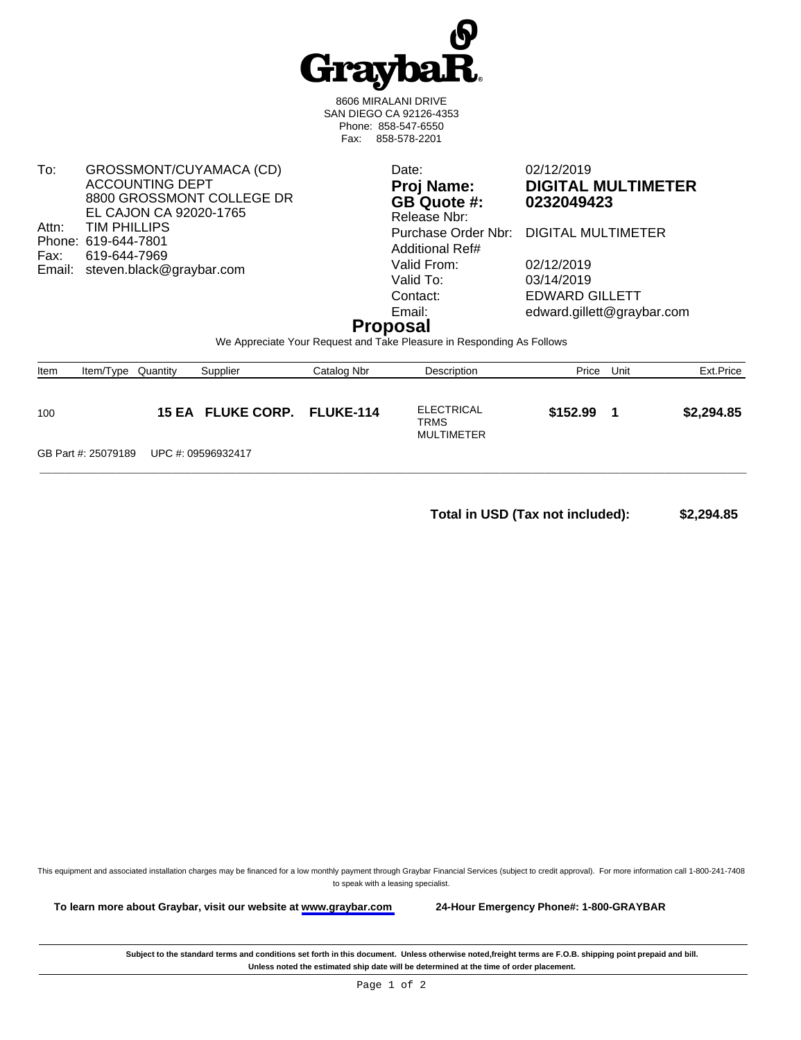

8606 MIRALANI DRIVE SAN DIEGO CA 92126-4353 Phone: 858-547-6550 Fax: 858-578-2201

To: GROSSMONT/CUYAMACA (CD) ACCOUNTING DEPT 8800 GROSSMONT COLLEGE DR EL CAJON CA 92020-1765 Attn: TIM PHILLIPS Phone: 619-644-7801<br>Fax: 619-644-7969 619-644-7969 Email: steven.black@graybar.com

**GB Quote #: 0232049423** Release Nbr: Additional Ref# Valid From: 02/12/2019<br>Valid To: 03/14/2019 Valid To: 03/14/2019<br>Contact: EDWARD C

Date: 02/12/2019 **Proj Name: DIGITAL MULTIMETER**

Purchase Order Nbr: DIGITAL MULTIMETER

EDWARD GILLETT Email: edward.gillett@graybar.com

## **Proposal**

We Appreciate Your Request and Take Pleasure in Responding As Follows

| Item | Item/Type           | Quantity | Supplier                    | Catalog Nbr | Description                             | Price    | Unit | Ext.Price  |
|------|---------------------|----------|-----------------------------|-------------|-----------------------------------------|----------|------|------------|
| 100  |                     |          | 15 EA FLUKE CORP. FLUKE-114 |             | <b>ELECTRICAL</b><br>TRMS<br>MULTIMETER | \$152.99 |      | \$2,294.85 |
|      | GB Part #: 25079189 |          | UPC #: 09596932417          |             |                                         |          |      |            |

**Total in USD (Tax not included): \$2,294.85** 

This equipment and associated installation charges may be financed for a low monthly payment through Graybar Financial Services (subject to credit approval). For more information call 1-800-241-7408 to speak with a leasing specialist.

**To learn more about Graybar, visit our website at [www.graybar.com](www.graybar.com ) 24-Hour Emergency Phone#: 1-800-GRAYBAR**

Subject to the standard terms and conditions set forth in this document. Unless otherwise noted,freight terms are F.O.B. shipping point prepaid and bill. **Unless noted the estimated ship date will be determined at the time of order placement.**